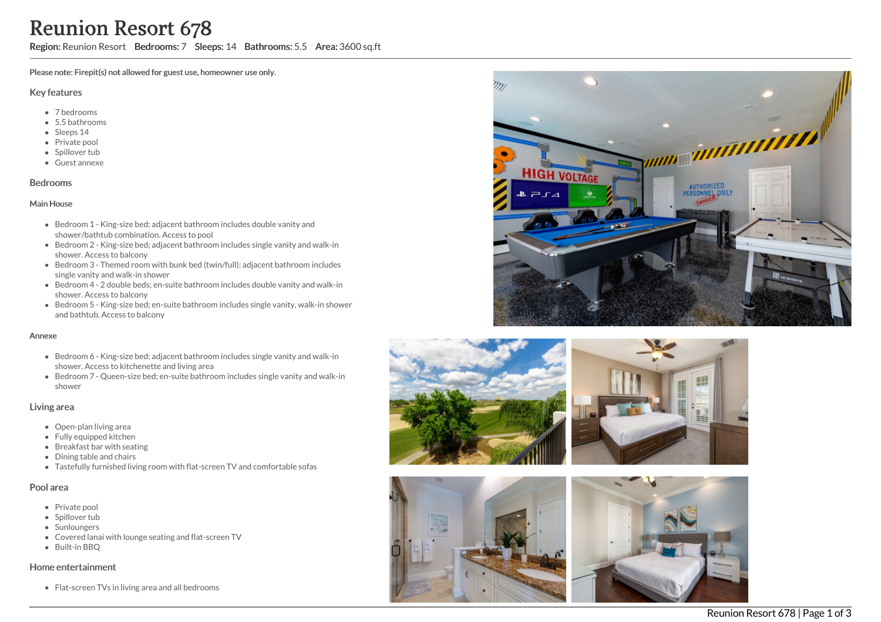Region: Reunion Resort Bedrooms: 7 Sleeps: 14 Bathrooms: 5.5 Area: 3600 sq.ft

Please note: Firepit(s) not allowed for guest use, homeowner use only.

#### Key features

- 7 bedrooms
- 5.5 bathrooms
- Sleeps 14
- Private pool
- Spillover tub
- Guest annexe

## Bedrooms

### Main House

- Bedroom 1 King-size bed; adjacent bathroom includes double vanity and shower/bathtub combination. Access to pool
- Bedroom 2 King-size bed; adjacent bathroom includes single vanity and walk-in shower. Access to balcony
- Bedroom 3 Themed room with bunk bed (twin/full); adjacent bathroom includes single vanity and walk-in shower
- Bedroom 4 2 double beds; en-suite bathroom includes double vanity and walk-in shower. Access to balcony
- Bedroom 5 King-size bed; en-suite bathroom includes single vanity, walk-in shower and bathtub. Access to balcony

#### Annexe

- Bedroom 6 King-size bed; adjacent bathroom includes single vanity and walk-in shower. Access to kitchenette and living area
- Bedroom 7 Queen-size bed; en-suite bathroom includes single vanity and walk-in shower

## Living area

- Open-plan living area
- Fully equipped kitchen
- Breakfast bar with seating
- Dining table and chairs
- Tastefully furnished living room with flat-screen TV and comfortable sofas

### Pool area

- Private pool
- Spillover tub
- Sunloungers
- Covered lanai with lounge seating and flat-screen TV
- Built-in BBQ

#### Home entertainment

Flat-screen TVs in living area and all bedrooms







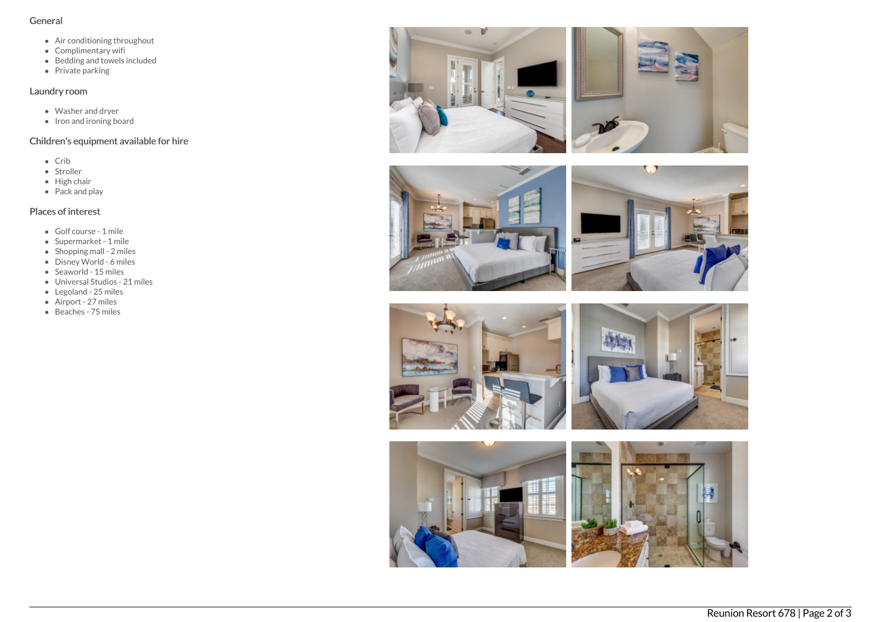## General

- Air conditioning throughout
- Complimentary wifi
- Bedding and towels included
- Private parking

# Laundry room

- Washer and dryer
- Iron and ironing board

# Children's equipment available for hire

- Crib
- Stroller
- $\bullet$  High chair
- $\bullet$  Pack and play

# Places of interest

- Golf course 1 mile
- Supermarket 1 mile
- Shopping mall 2 miles
- Disney World 6 miles
- $\bullet$  Seaworld 15 miles
- Universal Studios 21 miles
- Legoland 25 miles
- Airport 27 miles
- Beaches 75 miles